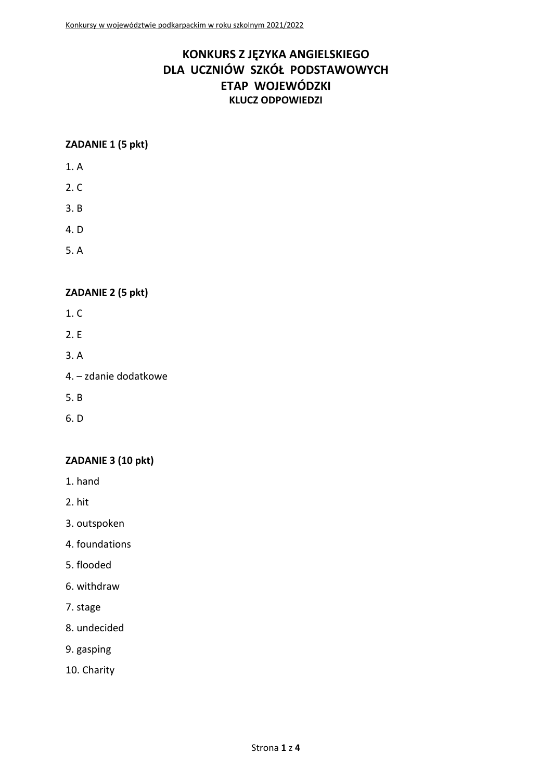# **KONKURS Z JĘZYKA ANGIELSKIEGO DLA UCZNIÓW SZKÓŁ PODSTAWOWYCH ETAP WOJEWÓDZKI KLUCZ ODPOWIEDZI**

#### **ZADANIE 1 (5 pkt)**

- 1. A
- 2. C
- 3. B
- 4. D
- 5. A

# **ZADANIE 2 (5 pkt)**

- 1. C
- 2. E
- 3. A
- 4. zdanie dodatkowe
- 5. B
- 6. D

# **ZADANIE 3 (10 pkt)**

- 1. hand
- 2. hit
- 3. outspoken
- 4. foundations
- 5. flooded
- 6. withdraw
- 7. stage
- 8. undecided
- 9. gasping
- 10. Charity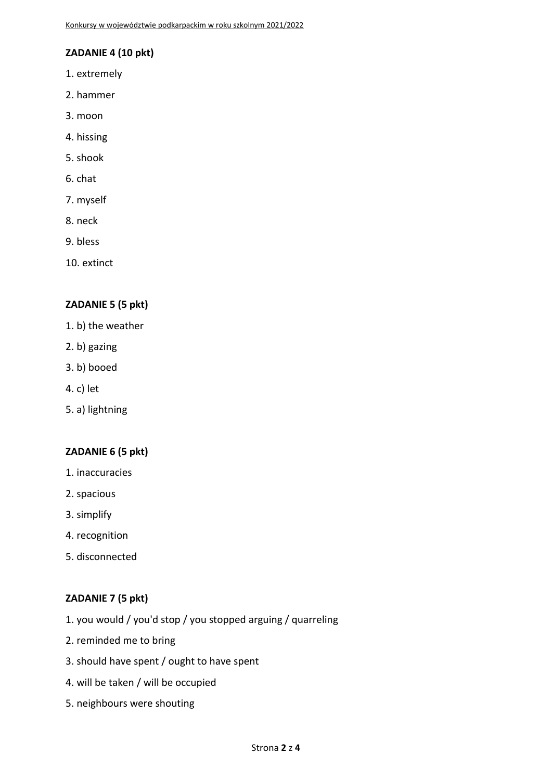### **ZADANIE 4 (10 pkt)**

- 1. extremely
- 2. hammer
- 3. moon
- 4. hissing
- 5. shook
- 6. chat
- 7. myself
- 8. neck
- 9. bless
- 10. extinct

#### **ZADANIE 5 (5 pkt)**

- 1. b) the weather
- 2. b) gazing
- 3. b) booed
- 4. c) let
- 5. a) lightning

#### **ZADANIE 6 (5 pkt)**

- 1. inaccuracies
- 2. spacious
- 3. simplify
- 4. recognition
- 5. disconnected

#### **ZADANIE 7 (5 pkt)**

- 1. you would / you'd stop / you stopped arguing / quarreling
- 2. reminded me to bring
- 3. should have spent / ought to have spent
- 4. will be taken / will be occupied
- 5. neighbours were shouting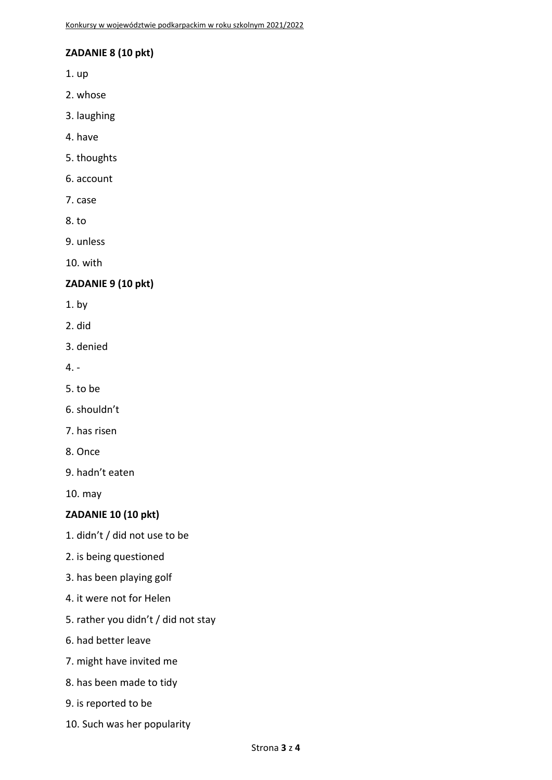### **ZADANIE 8 (10 pkt)**

1. up

- 2. whose
- 3. laughing
- 4. have
- 5. thoughts
- 6. account
- 7. case
- 8. to
- 9. unless

10. with

#### **ZADANIE 9 (10 pkt)**

- 1. by
- 2. did
- 3. denied
- 4. -
- 5. to be
- 6. shouldn't
- 7. has risen
- 8. Once
- 9. hadn't eaten

10. may

#### **ZADANIE 10 (10 pkt)**

- 1. didn't / did not use to be
- 2. is being questioned
- 3. has been playing golf
- 4. it were not for Helen
- 5. rather you didn't / did not stay
- 6. had better leave
- 7. might have invited me
- 8. has been made to tidy
- 9. is reported to be
- 10. Such was her popularity